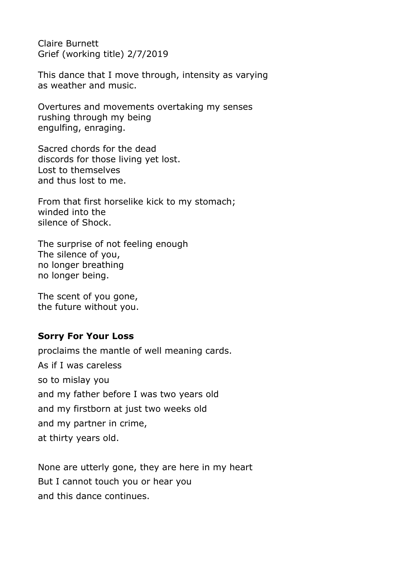Claire Burnett Grief (working title) 2/7/2019

This dance that I move through, intensity as varying as weather and music.

Overtures and movements overtaking my senses rushing through my being engulfing, enraging.

Sacred chords for the dead discords for those living yet lost. Lost to themselves and thus lost to me.

From that first horselike kick to my stomach; winded into the silence of Shock.

The surprise of not feeling enough The silence of you, no longer breathing no longer being.

The scent of you gone, the future without you.

## **Sorry For Your Loss**

proclaims the mantle of well meaning cards. As if I was careless so to mislay you and my father before I was two years old and my firstborn at just two weeks old and my partner in crime, at thirty years old.

None are utterly gone, they are here in my heart But I cannot touch you or hear you and this dance continues.